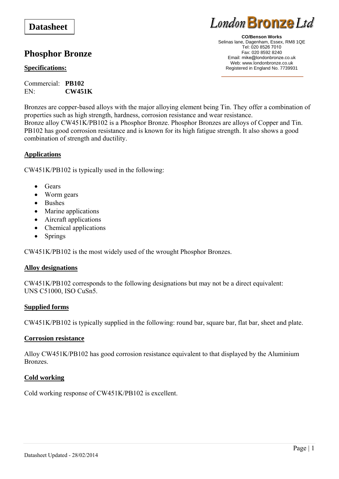# **Datasheet**

# **Phosphor Bronze**

# **Specifications:**

Commercial: **PB102** EN: **CW451K**



**CO/Benson Works**  Selinas lane, Dagenham, Essex, RM8 1QE Tel: 020 8526 7010 Fax: 020 8592 8240 Email: mike@londonbronze.co.uk Web: www.londonbronze.co.uk Registered in England No. 7739931

Bronzes are copper-based alloys with the major alloying element being Tin. They offer a combination of properties such as high strength, hardness, corrosion resistance and wear resistance. Bronze alloy CW451K/PB102 is a Phosphor Bronze. Phosphor Bronzes are alloys of Copper and Tin. PB102 has good corrosion resistance and is known for its high fatigue strength. It also shows a good combination of strength and ductility.

### **Applications**

CW451K/PB102 is typically used in the following:

- Gears
- Worm gears
- Bushes
- Marine applications
- Aircraft applications
- Chemical applications
- Springs

CW451K/PB102 is the most widely used of the wrought Phosphor Bronzes.

### **Alloy designations**

CW451K/PB102 corresponds to the following designations but may not be a direct equivalent: UNS C51000, ISO CuSn5.

### **Supplied forms**

CW451K/PB102 is typically supplied in the following: round bar, square bar, flat bar, sheet and plate.

### **Corrosion resistance**

Alloy CW451K/PB102 has good corrosion resistance equivalent to that displayed by the Aluminium Bronzes.

### **Cold working**

Cold working response of CW451K/PB102 is excellent.